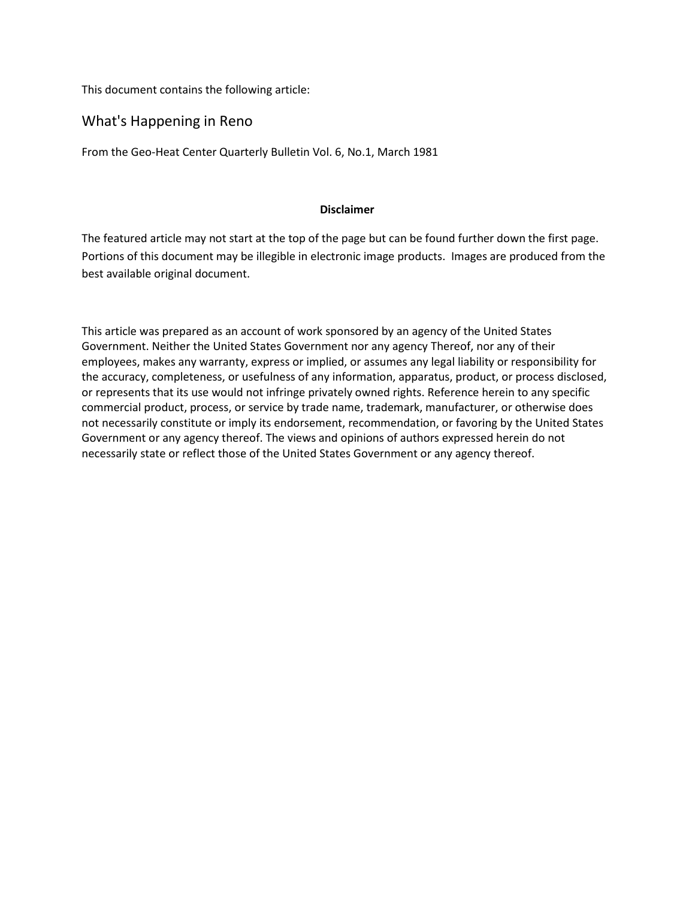This document contains the following article:

## What's Happening in Reno

From the Geo-Heat Center Quarterly Bulletin Vol. 6, No.1, March 1981

### **Disclaimer**

The featured article may not start at the top of the page but can be found further down the first page. Portions of this document may be illegible in electronic image products. Images are produced from the best available original document.

This article was prepared as an account of work sponsored by an agency of the United States Government. Neither the United States Government nor any agency Thereof, nor any of their employees, makes any warranty, express or implied, or assumes any legal liability or responsibility for the accuracy, completeness, or usefulness of any information, apparatus, product, or process disclosed, or represents that its use would not infringe privately owned rights. Reference herein to any specific commercial product, process, or service by trade name, trademark, manufacturer, or otherwise does not necessarily constitute or imply its endorsement, recommendation, or favoring by the United States Government or any agency thereof. The views and opinions of authors expressed herein do not necessarily state or reflect those of the United States Government or any agency thereof.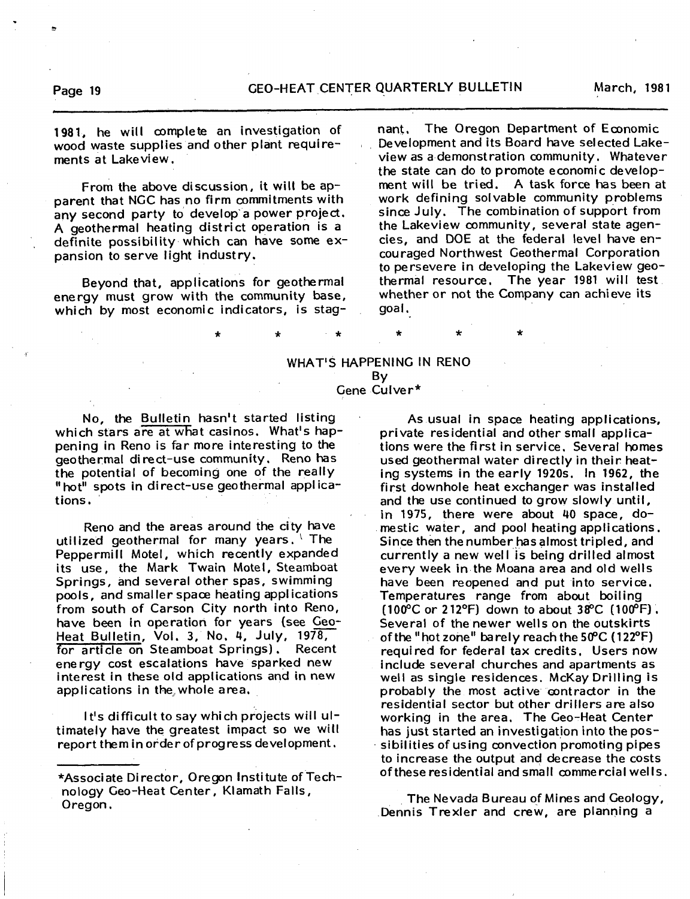**1981, he will complete an investigation of wood waste supplies and other plant requirements at Lakeview.**

**From the above discussion, it will be apparent that NGC has no firm commitments with** any second party to develop a power project. A **geothermal heating district operation is a definite possibility which can have some expansion to serve light industry.**

**Beyond that, applications for geothermal energy must grow with the community base, which by most economic indicators, is stag-** **nant. The Oregon Department of Economic Development and its Board have selected Lakeview as a demonstration community. Whatever the state can do to promote economic development will be tried.** A **task force has been at work defining solvable community problems since July. The combination of support from the Lakeview community, several state agencies, and DOE at the federal level have encouraged Northwest Geothermal Corporation to persevere in developing the Lakeview geothermal resource. The year 1981 will test whether or not the Company can achieve its goal.**

#### **WHAT'S HAP PENING IN RENO Gene Culver\* By**

**No, the Bulletin hasn't started listing** which stars are at what casinos. What's hap**pening in Reno is far more interesting to the geothermal direct-use community. Reno has the potential of becoming one of the really "hot" spots in direct-use geothermal applications.**

**Reno and the areas around the city have utilized geothermal for many years. The Peppermill Motel, which recently expanded its use, the Mark Twain Motel, Steamboat Springs, and several other spas, swimming pools, and smaller space heating applications from south of Carson City north into Reno, have been in operation for years (see Geo-**Heat Bulletin, Vol. 3, No. 4, July, 1978,<br>for article on Steamboat Springs), Recent for article on Steamboat Springs). **energy cost escalations have sparked new interest in these old applications and in new** applications in the whole area.

**It's difficult to say which projects will ultimately have the greatest impact so we will report them in order of progress development.**

As **usual in space heating applications, private residential and other small applications were the first in service. Several homes used geothermal water directly in their heating systems in the early 1920s. In 1962, the first downhole heat exchanger was installed and the use continued to grow slowly until, in 1975, there were about 40 space, domestic water, and pool heating applications. Since then the number has almost tripled, and currently a new well is being drilled almost every week in the Moana area and old wells have been reopened and put into service. Temperatures range from about boiling (100°C or 212°F) down to about 38°C (100°F) . Several of the newer wells on the outskirts of the "hot zone" barely reach the 50°C (122°F) required for federal tax credits. Users now include several churches and apartments as well as single residences. McKay Drilling is probably the most adive**• **contractor in the residential sector but other drillers are also working in the area. The Geo-Heat Center has just started an investigation into the possibilities of using convection promoting pipes to increase the output and decrease the costs of these residential and small commercial wells.**

**The Nevada Bureau of Mines and Geology, Dennis Trexler and crew, are planning a**

**<sup>\*</sup>Associate Director, Oregon Institute of Technology Geo-Heat Center, Klamath Falls, Oregon.**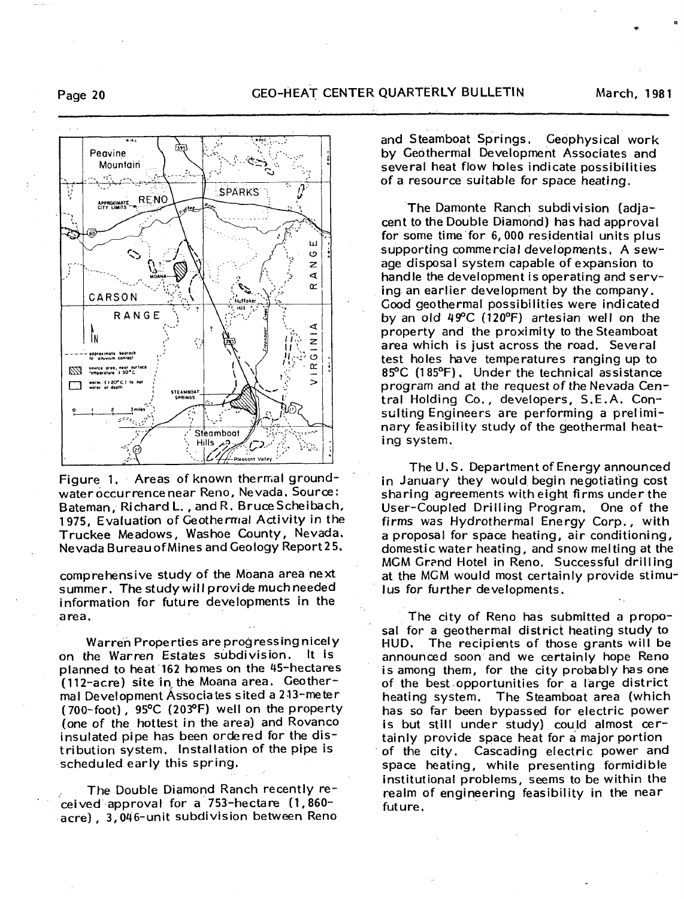છેંગ્ર Peavine Mountain V **SPARKS RENO** APPROXIMATE ш  $\circ$  $\overline{z}$  $\blacktriangleleft$  $\alpha$ CARSON .<br>Huffake RANGE 4 . Fn  $\bar{z}$ Q  $\overline{5}$ opproximate bedract<br>to alluvium contact œ source area, near surface  $\overline{ }$ warm  $(20^{\circ}$  C.) to he **STEAMBOAT**<br>SPRINGS Steamboat Hills

Figure 1. Areas of known thermal groundwater occurrence near Reno, Nevada, Source: Bateman, Richard L., and R. Bruce Scheibach, 1975, Evaluation of Geothermal Activity in the Truckee Meadows, Washoe County, Nevada. Nevada Bureau of Mines and Geology Report 25.

comprehensive study of the Moana area next summer. The study will provide much needed information for future developments in the area.

Warren Properties are progressing nicely on the Warren Estates subdivision. It is planned to heat 162 homes on the 45-hectares (112-acre) site in the Moana area. Geothermal Development Associates sited a 213-meter (700-foot), 95°C (203°F) well on the property (one of the hottest in the area) and Rovanco insulated pipe has been ordered for the distribution system. Installation of the pipe is scheduled early this spring.

The Double Diamond Ranch recently received approval for a 753-hectare (1,860acre), 3,046-unit subdivision between Reno and Steamboat Springs, Geophysical work by Geothermal Development Associates and several heat flow holes indicate possibilities of a resource suitable for space heating.

The Damonte Ranch subdivision (adiacent to the Double Diamond) has had approval for some time for 6,000 residential units plus supporting commercial developments, A sewage disposal system capable of expansion to handle the development is operating and serving an earlier development by the company. Good geothermal possibilities were indicated by an old 49°C (120°F) artesian well on the property and the proximity to the Steamboat area which is just across the road. Several test holes have temperatures ranging up to 85°C (185°F), Under the technical assistance program and at the request of the Nevada Central Holding Co., developers, S.E.A. Consulting Engineers are performing a preliminary feasibility study of the geothermal heating system.

The U.S. Department of Energy announced in January they would begin negotiating cost sharing agreements with eight firms under the User-Coupled Drilling Program, One of the firms was Hydrothermal Energy Corp., with a proposal for space heating, air conditioning, domestic water heating, and snow melting at the MCM Grand Hotel in Reno, Successful drilling at the MGM would most certainly provide stimu-Jus for further developments,

The city of Reno has submitted a proposal for a geothermal district heating study to HUD. The recipients of those grants will be announced soon and we certainly hope Reno is among them, for the city probably has one of the best opportunities for a large district heating system. The Steamboat area (which has so far been bypassed for electric power is but still under study) could almost certainly provide space heat for a major portion of the city. Cascading electric power and space heating, while presenting formidible institutional problems, seems to be within the realm of engineering feasibility in the near future.

March, 1981



Page 20